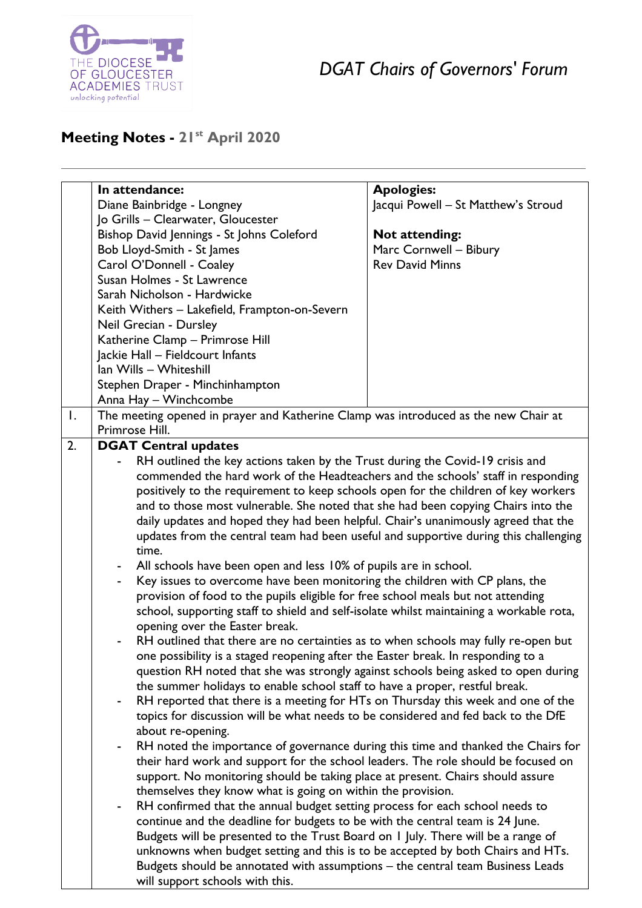

*DGAT Chairs of Governors' Forum*

## **Meeting Notes - 21st April 2020**

|                | In attendance:                                                                          |                                                                                      |  |
|----------------|-----------------------------------------------------------------------------------------|--------------------------------------------------------------------------------------|--|
|                |                                                                                         | <b>Apologies:</b>                                                                    |  |
|                | Diane Bainbridge - Longney                                                              | Jacqui Powell - St Matthew's Stroud                                                  |  |
|                | Jo Grills - Clearwater, Gloucester                                                      |                                                                                      |  |
|                | Bishop David Jennings - St Johns Coleford                                               | <b>Not attending:</b>                                                                |  |
|                | Bob Lloyd-Smith - St James                                                              | Marc Cornwell - Bibury                                                               |  |
|                | Carol O'Donnell - Coaley                                                                | <b>Rev David Minns</b>                                                               |  |
|                | Susan Holmes - St Lawrence                                                              |                                                                                      |  |
|                | Sarah Nicholson - Hardwicke                                                             |                                                                                      |  |
|                | Keith Withers - Lakefield, Frampton-on-Severn                                           |                                                                                      |  |
|                | Neil Grecian - Dursley                                                                  |                                                                                      |  |
|                | Katherine Clamp - Primrose Hill                                                         |                                                                                      |  |
|                |                                                                                         |                                                                                      |  |
|                | Jackie Hall - Fieldcourt Infants                                                        |                                                                                      |  |
|                | Ian Wills - Whiteshill                                                                  |                                                                                      |  |
|                | Stephen Draper - Minchinhampton                                                         |                                                                                      |  |
|                | Anna Hay - Winchcombe                                                                   |                                                                                      |  |
| $\mathbf{I}$ . | The meeting opened in prayer and Katherine Clamp was introduced as the new Chair at     |                                                                                      |  |
|                | Primrose Hill.                                                                          |                                                                                      |  |
| 2.             | <b>DGAT Central updates</b>                                                             |                                                                                      |  |
|                | RH outlined the key actions taken by the Trust during the Covid-19 crisis and           |                                                                                      |  |
|                | commended the hard work of the Headteachers and the schools' staff in responding        |                                                                                      |  |
|                | positively to the requirement to keep schools open for the children of key workers      |                                                                                      |  |
|                | and to those most vulnerable. She noted that she had been copying Chairs into the       |                                                                                      |  |
|                |                                                                                         |                                                                                      |  |
|                | daily updates and hoped they had been helpful. Chair's unanimously agreed that the      |                                                                                      |  |
|                |                                                                                         | updates from the central team had been useful and supportive during this challenging |  |
|                | time.                                                                                   |                                                                                      |  |
|                | All schools have been open and less 10% of pupils are in school.<br>۰                   |                                                                                      |  |
|                | Key issues to overcome have been monitoring the children with CP plans, the             |                                                                                      |  |
|                | provision of food to the pupils eligible for free school meals but not attending        |                                                                                      |  |
|                | school, supporting staff to shield and self-isolate whilst maintaining a workable rota, |                                                                                      |  |
|                | opening over the Easter break.                                                          |                                                                                      |  |
|                | RH outlined that there are no certainties as to when schools may fully re-open but      |                                                                                      |  |
|                | one possibility is a staged reopening after the Easter break. In responding to a        |                                                                                      |  |
|                | question RH noted that she was strongly against schools being asked to open during      |                                                                                      |  |
|                | the summer holidays to enable school staff to have a proper, restful break.             |                                                                                      |  |
|                |                                                                                         |                                                                                      |  |
|                | RH reported that there is a meeting for HTs on Thursday this week and one of the        |                                                                                      |  |
|                | topics for discussion will be what needs to be considered and fed back to the DfE       |                                                                                      |  |
|                | about re-opening.                                                                       |                                                                                      |  |
|                |                                                                                         | RH noted the importance of governance during this time and thanked the Chairs for    |  |
|                | their hard work and support for the school leaders. The role should be focused on       |                                                                                      |  |
|                | support. No monitoring should be taking place at present. Chairs should assure          |                                                                                      |  |
|                | themselves they know what is going on within the provision.                             |                                                                                      |  |
|                | RH confirmed that the annual budget setting process for each school needs to            |                                                                                      |  |
|                | continue and the deadline for budgets to be with the central team is 24 June.           |                                                                                      |  |
|                | Budgets will be presented to the Trust Board on I July. There will be a range of        |                                                                                      |  |
|                |                                                                                         |                                                                                      |  |
|                | unknowns when budget setting and this is to be accepted by both Chairs and HTs.         |                                                                                      |  |
|                | Budgets should be annotated with assumptions - the central team Business Leads          |                                                                                      |  |
|                | will support schools with this.                                                         |                                                                                      |  |